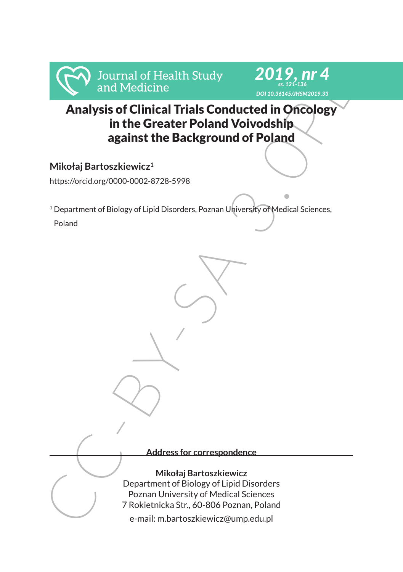

# Analysis of Clinical Trials Conducted in Oncology in the Greater Poland Voivodship against the Background of Poland

*ss. 121-136*

## **Mikołaj Bartoszkiewicz<sup>1</sup>**

https://orcid.org/0000-0002-8728-5998

<sup>1</sup> Department of Biology of Lipid Disorders, Poznan University of Medical Sciences, Poland

Frankry and Medicine<br>
Analysis of Clinical Trials Conducted in Oncology<br>
in the Greater Poland Voivodship<br>
against the Background of Poland<br>
Mikołaj Bartoszkiewicz<sup>1</sup><br>
Ntikołaj Bartoszkiewicz<sup>1</sup><br>
Pepartment of Biology of L **Address for correspondence Mikołaj Bartoszkiewicz** Department of Biology of Lipid Disorders Poznan University of Medical Sciences 7 Rokietnicka Str., 60-806 Poznan, Poland e-mail: m.bartoszkiewicz@ump.edu.pl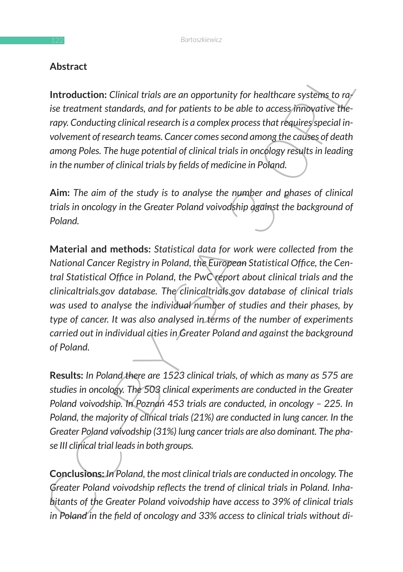### **Abstract**

**Introduction:** *Clinical trials are an opportunity for healthcare systems to raise treatment standards, and for patients to be able to access innovative therapy. Conducting clinical research is a complex process that requires special involvement of research teams. Cancer comes second among the causes of death among Poles. The huge potential of clinical trials in oncology results in leading in the number of clinical trials by fields of medicine in Poland.*

**Aim:** *The aim of the study is to analyse the number and phases of clinical trials in oncology in the Greater Poland voivodship against the background of Poland.*

**Austract**<br> **Introduction:** Clinical trials are an opportunity for healthcare systems to ray<br>
liste treatment standards, and for patients to be able to access finitogrative the-<br>
irapy. Conducting clinical research is a c **Material and methods:** *Statistical data for work were collected from the National Cancer Registry in Poland, the European Statistical Office, the Central Statistical Office in Poland, the PwC report about clinical trials and the clinicaltrials.gov database. The clinicaltrials.gov database of clinical trials was used to analyse the individual number of studies and their phases, by type of cancer. It was also analysed in terms of the number of experiments carried out in individual cities in Greater Poland and against the background of Poland.*

**Results:** *In Poland there are 1523 clinical trials, of which as many as 575 are studies in oncology. The 503 clinical experiments are conducted in the Greater Poland voivodship. In Poznań 453 trials are conducted, in oncology – 225. In Poland, the majority of clinical trials (21%) are conducted in lung cancer. In the Greater Poland voivodship (31%) lung cancer trials are also dominant. The phase III clinical trial leads in both groups.*

**Conclusions:** *In Poland, the most clinical trials are conducted in oncology. The Greater Poland voivodship reflects the trend of clinical trials in Poland. Inhabitants of the Greater Poland voivodship have access to 39% of clinical trials in Poland in the field of oncology and 33% access to clinical trials without di-*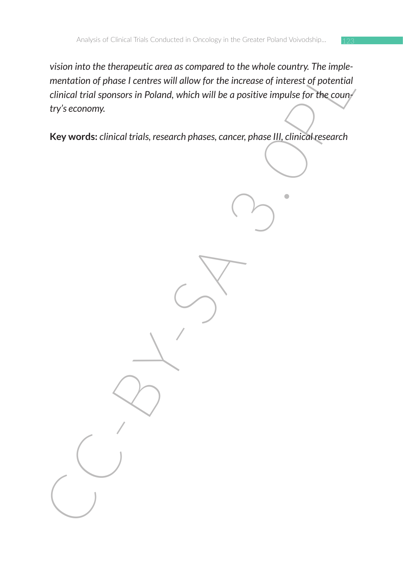when the top dress leads the state will allow for the increase of interest of potential<br>mentation of phase I centres will allow for the increase of interest of potential<br>clinical trial sponsors in Poland, which will be a p *vision into the therapeutic area as compared to the whole country. The implementation of phase I centres will allow for the increase of interest of potential clinical trial sponsors in Poland, which will be a positive impulse for the country's economy.*

**Key words:** *clinical trials, research phases, cancer, phase III, clinical research*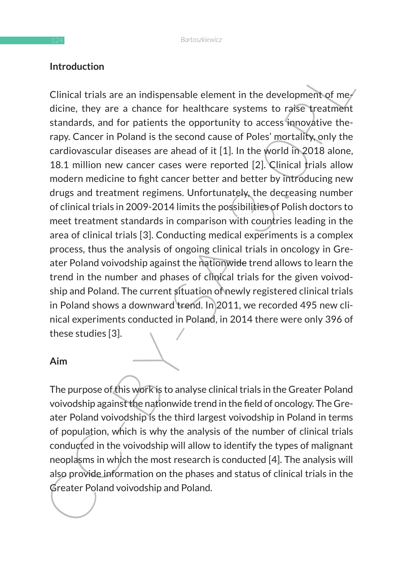### **Introduction**

Introduction<br>
Clinical trials are an indispensable element in the development of mechanical risks are a chance for healthcare systems to raifse treatment<br>
standards, and for patients the opportunity to access funoysitive Clinical trials are an indispensable element in the development of medicine, they are a chance for healthcare systems to raise treatment standards, and for patients the opportunity to access innovative therapy. Cancer in Poland is the second cause of Poles' mortality, only the cardiovascular diseases are ahead of it [1]. In the world in 2018 alone, 18.1 million new cancer cases were reported [2]. Clinical trials allow modern medicine to fight cancer better and better by introducing new drugs and treatment regimens. Unfortunately, the decreasing number of clinical trials in 2009-2014 limits the possibilities of Polish doctors to meet treatment standards in comparison with countries leading in the area of clinical trials [3]. Conducting medical experiments is a complex process, thus the analysis of ongoing clinical trials in oncology in Greater Poland voivodship against the nationwide trend allows to learn the trend in the number and phases of clinical trials for the given voivodship and Poland. The current situation of newly registered clinical trials in Poland shows a downward trend. In 2011, we recorded 495 new clinical experiments conducted in Poland, in 2014 there were only 396 of these studies [3].

#### **Aim**

The purpose of this work is to analyse clinical trials in the Greater Poland voivodship against the nationwide trend in the field of oncology. The Greater Poland voivodship is the third largest voivodship in Poland in terms of population, which is why the analysis of the number of clinical trials conducted in the voivodship will allow to identify the types of malignant neoplasms in which the most research is conducted [4]. The analysis will also provide information on the phases and status of clinical trials in the Greater Poland voivodship and Poland.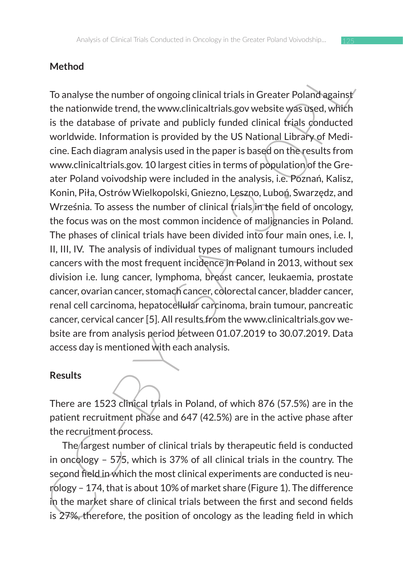# **Method**

For analyse the number of ongoing clinical trials in Greater Poland against<br>To analyse the number of ongoing clinical trials in Greater Poland against<br>is the database of private and pubilcly funded clinical frials conduct To analyse the number of ongoing clinical trials in Greater Poland against the nationwide trend, the www.clinicaltrials.gov website was used, which is the database of private and publicly funded clinical trials conducted worldwide. Information is provided by the US National Library of Medicine. Each diagram analysis used in the paper is based on the results from www.clinicaltrials.gov. 10 largest cities in terms of population of the Greater Poland voivodship were included in the analysis, i.e. Poznań, Kalisz, Konin, Piła, Ostrów Wielkopolski, Gniezno, Leszno, Luboń, Swarzędz, and Września. To assess the number of clinical trials in the field of oncology, the focus was on the most common incidence of malignancies in Poland. The phases of clinical trials have been divided into four main ones, i.e. I, II, III, IV. The analysis of individual types of malignant tumours included cancers with the most frequent incidence in Poland in 2013, without sex division i.e. lung cancer, lymphoma, breast cancer, leukaemia, prostate cancer, ovarian cancer, stomach cancer, colorectal cancer, bladder cancer, renal cell carcinoma, hepatocellular carcinoma, brain tumour, pancreatic cancer, cervical cancer [5]. All results from the www.clinicaltrials.gov website are from analysis period between 01.07.2019 to 30.07.2019. Data access day is mentioned with each analysis.

### **Results**

There are 1523 clinical trials in Poland, of which 876 (57.5%) are in the patient recruitment phase and 647 (42.5%) are in the active phase after the recruitment process.

The largest number of clinical trials by therapeutic field is conducted in oncology – 575, which is 37% of all clinical trials in the country. The second field in which the most clinical experiments are conducted is neurology – 174, that is about 10% of market share (Figure 1). The difference in the market share of clinical trials between the first and second fields is 27%, therefore, the position of oncology as the leading field in which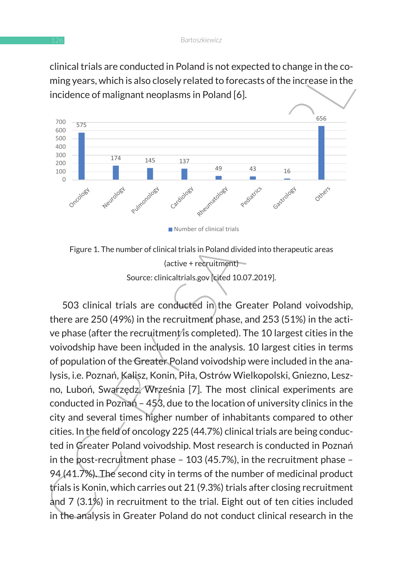clinical trials are conducted in Poland is not expected to change in the coming years, which is also closely related to forecasts of the increase in the  $\blacksquare$ incidence of malignant neoplasms in Poland [6].



Figure 1. The number of clinical trials in Poland divided into therapeutic areas (active + recruitment) Source: clinicaltrials.gov cited 10.07.2019].

entrat translate contoucted in Poland Island (1413) and the spectrate to change inture contains the increase in the incidence of malignant neoplasms in Poland [6].<br>
The increase in the incidence of malignant neoplasms in P 503 clinical trials are conducted in the Greater Poland voivodship, there are 250 (49%) in the recruitment phase, and 253 (51%) in the active phase (after the recruitment/is completed). The 10 largest cities in the voivodship have been included in the analysis. 10 largest cities in terms of population of the Greater Poland voivodship were included in the analysis, i.e. Poznań, Kalisz, Konin, Piła, Ostrów Wielkopolski, Gniezno, Leszno, Luboń, Swarzędz, Września [7]. The most clinical experiments are conducted in Poznań – 453, due to the location of university clinics in the city and several times higher number of inhabitants compared to other cities. In the field of oncology 225 (44.7%) clinical trials are being conducted in Greater Poland voivodship. Most research is conducted in Poznań in the post-recruitment phase – 103 (45.7%), in the recruitment phase – 94 (41.7%). The second city in terms of the number of medicinal product trials is Konin, which carries out 21 (9.3%) trials after closing recruitment and 7 (3.1%) in recruitment to the trial. Eight out of ten cities included in the analysis in Greater Poland do not conduct clinical research in the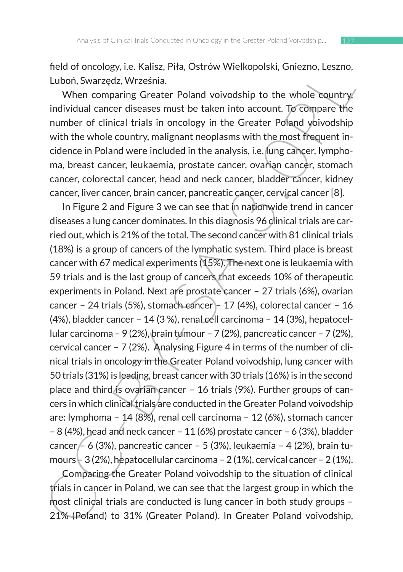field of oncology, i.e. Kalisz, Piła, Ostrów Wielkopolski, Gniezno, Leszno, Luboń, Swarzędz, Września.

When comparing Greater Poland voivodship to the whole country individual cancer diseases must be taken into account. To compare the number of clinical trials in oncology in the Greater Poland voivodship with the whole country, malignant neoplasms with the most frequent incidence in Poland were included in the analysis, i.e. lung cancer, lymphoma, breast cancer, leukaemia, prostate cancer, ovarian cancer, stomach cancer, colorectal cancer, head and neck cancer, bladder cancer, kidney cancer, liver cancer, brain cancer, pancreatic cancer, cervical cancer [8].

Head of official cacer relations, Firial, Ostrow welesty, caliezino, Leszino, Leszino, Leszino, Leszino, Leszino, Leszino, Leszino, Leszino, Leszino, Leszino, Leszino, Leszino, Leszino, Leszino, Leszino, Leszino, Leszino, In Figure 2 and Figure 3 we can see that in nationwide trend in cancer diseases a lung cancer dominates. In this diagnosis 96 clinical trials are carried out, which is 21% of the total. The second cancer with 81 clinical trials (18%) is a group of cancers of the lymphatic system. Third place is breast cancer with 67 medical experiments (15%). The next one is leukaemia with 59 trials and is the last group of cancers that exceeds 10% of therapeutic experiments in Poland. Next are prostate cancer – 27 trials (6%), ovarian cancer – 24 trials (5%), stomach cancer – 17 (4%), colorectal cancer – 16 (4%), bladder cancer – 14 (3 %), renal cell carcinoma – 14 (3%), hepatocellular carcinoma – 9 (2%), brain tumour – 7 (2%), pancreatic cancer – 7 (2%), cervical cancer – 7 (2%). Analysing Figure 4 in terms of the number of clinical trials in oncology in the Greater Poland voivodship, lung cancer with 50 trials (31%) is leading, breast cancer with 30 trials (16%) is in the second place and third is ovarian cancer – 16 trials (9%). Further groups of cancers in which clinical trials are conducted in the Greater Poland voivodship are: lymphoma – 14 (8%), renal cell carcinoma – 12 (6%), stomach cancer – 8 (4%), head and neck cancer – 11 (6%) prostate cancer – 6 (3%), bladder cancer – 6 (3%), pancreatic cancer – 5 (3%), leukaemia – 4 (2%), brain tumours  $-$  3 (2%), hepatocellular carcinoma – 2 (1%), cervical cancer – 2 (1%).

Comparing the Greater Poland voivodship to the situation of clinical trials in cancer in Poland, we can see that the largest group in which the most clinical trials are conducted is lung cancer in both study groups – 21% (Poland) to 31% (Greater Poland). In Greater Poland voivodship,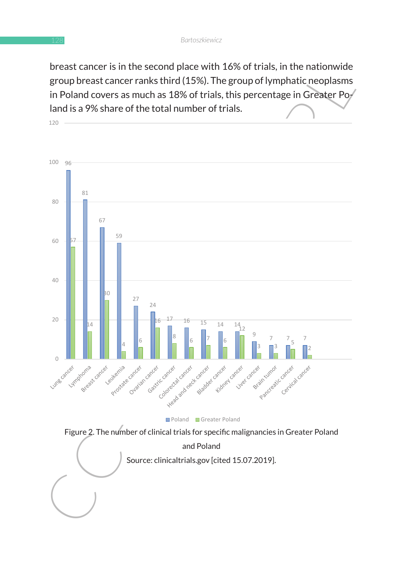breast cancer is in the second place with 16% of trials, in the nationwide group breast cancer ranks third (15%). The group of lymphatic neoplasms in Poland covers as much as 18% of trials, this percentage in Greater Po $_{7}$ land is a 9% share of the total number of trials.  $\qquad \qquad$ 



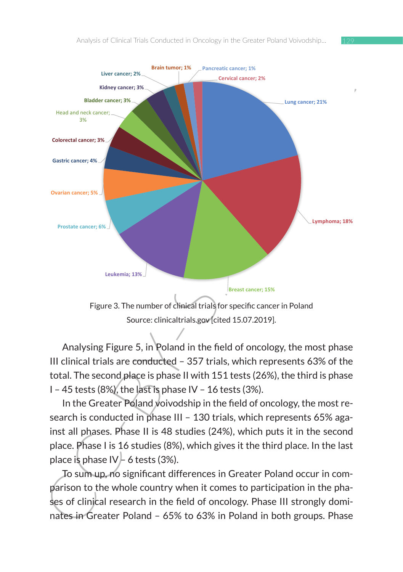

Source: clinicaltrials.gov [cited 15.07.2019].

 $\mathcal{A}$  and  $\mathcal{A}$  the number of clinical trials for specific cancer in Polanda trials for specific cancer in Polanda trials for specific cancer in Polanda trials for specific cancer in Polanda trials for specific canc

Analysing Figure 5, in Poland in the field of oncology, the most phase III clinical trials are conducted – 357 trials, which represents 63% of the total. The second place is phase II with 151 tests (26%), the third is phase I – 45 tests (8%), the last is phase IV – 16 tests (3%).

In the Greater Poland voivodship in the field of oncology, the most research is conducted in phase III – 130 trials, which represents 65% against all phases. Phase II is 48 studies (24%), which puts it in the second place. Phase I is 16 studies (8%), which gives it the third place. In the last place is phase  $IV \neq 6$  tests (3%).

To sum up, no significant differences in Greater Poland occur in comparison to the whole country when it comes to participation in the phases of clinical research in the field of oncology. Phase III strongly dominates in Greater Poland – 65% to 63% in Poland in both groups. Phase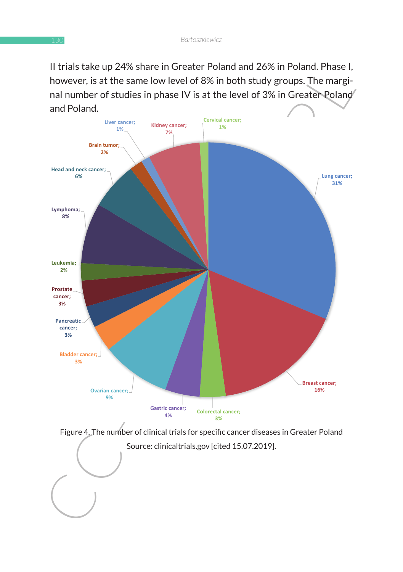II trials take up 24% share in Greater Poland and 26% in Poland. Phase I, however, is at the same low level of 8% in both study groups. The marginal number of studies in phase IV is at the level of 3% in Greater Poland and Poland.



 $\sim$  contribution  $\sim$  15.07.2019.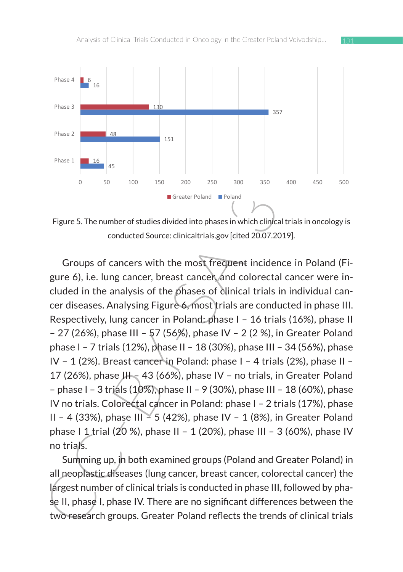

Figure 5. The number of studies divided into phases in which clinical trials in oncology is conducted Source: clinicaltrials.gov [cited 20.07.2019].

Phane 3<br>
Phane 3<br>  $\frac{1}{36}$ <br>
Phane 3<br>  $\frac{1}{36}$ <br>  $\frac{1}{36}$ <br>  $\frac{1}{36}$ <br>  $\frac{1}{36}$ <br>  $\frac{1}{36}$ <br>  $\frac{1}{36}$ <br>  $\frac{1}{36}$ <br>  $\frac{1}{36}$ <br>  $\frac{1}{36}$ <br>  $\frac{1}{36}$ <br>  $\frac{1}{36}$ <br>  $\frac{1}{36}$ <br>  $\frac{1}{36}$ <br>  $\frac{1}{36}$ <br>  $\frac{1}{36}$ <br>  $\$ Groups of cancers with the most frequent incidence in Poland (Figure 6), i.e. lung cancer, breast cancer, and colorectal cancer were included in the analysis of the phases of clinical trials in individual cancer diseases. Analysing Figure 6, most trials are conducted in phase III. Respectively, lung cancer in Poland: phase I – 16 trials (16%), phase II – 27 (26%), phase III – 57 (56%), phase IV – 2 (2 %), in Greater Poland phase I – 7 trials (12%), phase II – 18 (30%), phase III – 34 (56%), phase IV – 1 (2%). Breast cancer in Poland: phase I – 4 trials (2%), phase II – 17 (26%), phase  $III - 43$  (66%), phase IV - no trials, in Greater Poland – phase I – 3 trials (10%), phase II – 9 (30%), phase III – 18 (60%), phase IV no trials. Colorectal cancer in Poland: phase I – 2 trials (17%), phase II – 4 (33%), phase III – 5 (42%), phase IV – 1 (8%), in Greater Poland phase I 1 trial (20 %), phase II – 1 (20%), phase III – 3 (60%), phase IV no trials.

Summing up, in both examined groups (Poland and Greater Poland) in all neoplastic diseases (lung cancer, breast cancer, colorectal cancer) the largest number of clinical trials is conducted in phase III, followed by phase II, phase I, phase IV. There are no significant differences between the two research groups. Greater Poland reflects the trends of clinical trials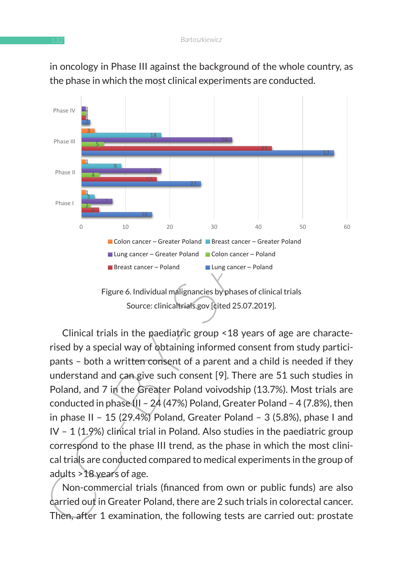

in oncology in Phase III against the background of the whole country, as the phase in which the most clinical experiments are conducted.

Figure 6. Individual malignancies by phases of clinical trials Source: clinicaltrials.gov [cited 25.07.2019].

Clinical trials in the paediatric group <18 years of age are characterised by a special way of obtaining informed consent from study participants – both a written consent of a parent and a child is needed if they understand and can give such consent [9]. There are 51 such studies in Poland, and 7 in the Greater Poland voivodship (13.7%). Most trials are conducted in phase III - 24 (47%) Poland, Greater Poland - 4 (7.8%), then in phase II – 15 (29.4%) Poland, Greater Poland – 3 (5.8%), phase I and IV - 1 (1.9%) clinical trial in Poland. Also studies in the paediatric group correspond to the phase III trend, as the phase in which the most clinical trials are conducted compared to medical experiments in the group of adults >18 years of age.

Non-commercial trials (financed from own or public funds) are also carried out in Greater Poland, there are 2 such trials in colorectal cancer. Then, after 1 examination, the following tests are carried out: prostate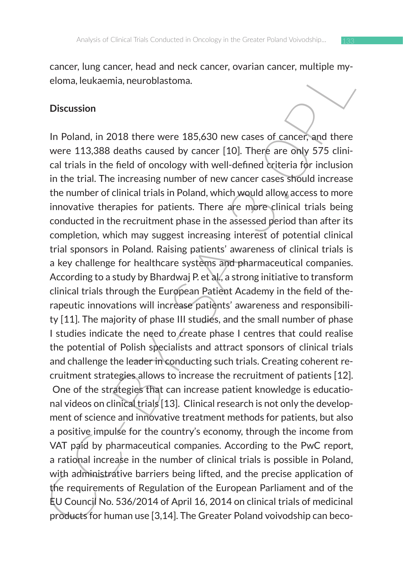cancer, lung cancer, head and neck cancer, ovarian cancer, multiple myeloma, leukaemia, neuroblastoma.

#### **Discussion**

Cancer, rung cancer, read and netxt cancer, overfain cancer, mumple invertion, and the cancer and the cancer and the cancer and there were 113.388 deaths caused by cancer [10]. There are only 575 clinical trials in the fie In Poland, in 2018 there were 185,630 new cases of cancer, and there were 113,388 deaths caused by cancer [10]. There are only 575 clinical trials in the field of oncology with well-defined criteria for inclusion in the trial. The increasing number of new cancer cases should increase the number of clinical trials in Poland, which would allow access to more innovative therapies for patients. There are more clinical trials being conducted in the recruitment phase in the assessed period than after its completion, which may suggest increasing interest of potential clinical trial sponsors in Poland. Raising patients' awareness of clinical trials is a key challenge for healthcare systems and pharmaceutical companies. According to a study by Bhardwaj P. et al., a strong initiative to transform clinical trials through the European Patient Academy in the field of therapeutic innovations will increase patients' awareness and responsibility [11]. The majority of phase III studies, and the small number of phase I studies indicate the need to create phase I centres that could realise the potential of Polish specialists and attract sponsors of clinical trials and challenge the leader in conducting such trials. Creating coherent recruitment strategies allows to increase the recruitment of patients [12]. One of the strategies that can increase patient knowledge is educational videos on clinical trials [13]. Clinical research is not only the development of science and innovative treatment methods for patients, but also a positive impulse for the country's economy, through the income from VAT paid by pharmaceutical companies. According to the PwC report, a rational increase in the number of clinical trials is possible in Poland, with administrative barriers being lifted, and the precise application of the requirements of Regulation of the European Parliament and of the EU Council No. 536/2014 of April 16, 2014 on clinical trials of medicinal products for human use [3,14]. The Greater Poland voivodship can beco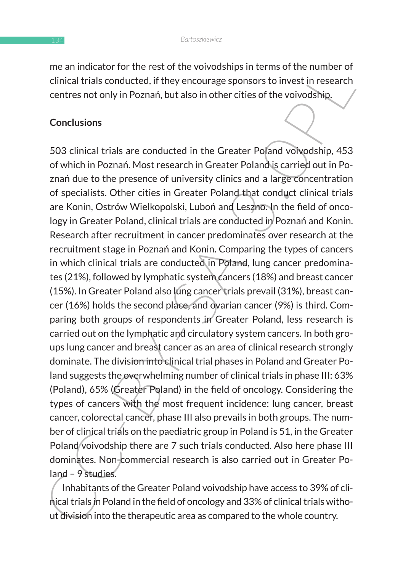me an indicator for the rest of the voivodships in terms of the number of clinical trials conducted, if they encourage sponsors to invest in research centres not only in Poznań, but also in other cities of the voivodship.

### **Conclusions**

Included trial contents of the solution of the solution of the dinical trials on the dinical trials on the courage sponsors to investing in testance of the volvodship. 453 of which in Poznani, but also in other cities of t 503 clinical trials are conducted in the Greater Poland voivodship, 453 of which in Poznań. Most research in Greater Poland is carried out in Poznań due to the presence of university clinics and a large concentration of specialists. Other cities in Greater Poland that conduct clinical trials are Konin, Ostrów Wielkopolski, Luboń and Leszno. In the field of oncology in Greater Poland, clinical trials are conducted in Poznań and Konin. Research after recruitment in cancer predominates over research at the recruitment stage in Poznań and Konin. Comparing the types of cancers in which clinical trials are conducted in Poland, lung cancer predominates (21%), followed by lymphatic system cancers (18%) and breast cancer (15%). In Greater Poland also lung cancer trials prevail (31%), breast cancer (16%) holds the second place, and ovarian cancer (9%) is third. Comparing both groups of respondents in Greater Poland, less research is carried out on the lymphatic and circulatory system cancers. In both groups lung cancer and breast cancer as an area of clinical research strongly dominate. The division into clinical trial phases in Poland and Greater Poland suggests the overwhelming number of clinical trials in phase III: 63% (Poland), 65% (Greater Poland) in the field of oncology. Considering the types of cancers with the most frequent incidence: lung cancer, breast cancer, colorectal cancer, phase III also prevails in both groups. The number of clinical trials on the paediatric group in Poland is 51, in the Greater Poland voivodship there are 7 such trials conducted. Also here phase III dominates. Non-commercial research is also carried out in Greater Poland – 9 studies.

Inhabitants of the Greater Poland voivodship have access to 39% of clinical trials in Poland in the field of oncology and 33% of clinical trials without division into the therapeutic area as compared to the whole country.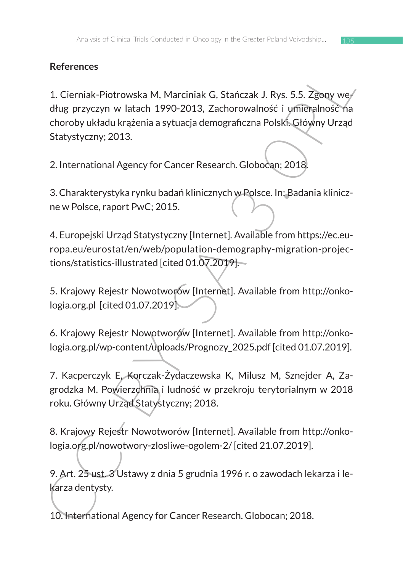# **References**

References<br>
1. Cierniak-Piotrowska M, Marciniak G, Stańczak J. Rys. 5.5. Zgony wed<br>
dług przyczyn w latach 1990-2013, Zachorowalność i umieralność Ya<br>
choroby układu krażenia a sytuacja demograficzna Polski. Cłówny Urząd<br> 1. Cierniak-Piotrowska M, Marciniak G, Stańczak J. Rys. 5.5. Zgony według przyczyn w latach 1990-2013, Zachorowalność i umieralność na choroby układu krążenia a sytuacja demograficzna Polski. Główny Urząd Statystyczny; 2013.

2. International Agency for Cancer Research. Globocan; 2018.

3. Charakterystyka rynku badań klinicznych w Polsce. In: Badania kliniczne w Polsce, raport PwC; 2015.

4. Europejski Urząd Statystyczny [Internet]. Available from https://ec.europa.eu/eurostat/en/web/population-demography-migration-projections/statistics-illustrated [cited 01.07.2019].

5. Krajowy Rejestr Nowotworów [Internet]. Available from http://onkologia.org.pl [cited 01.07.2019].

6. Krajowy Rejestr Nowotworów [Internet]. Available from http://onkologia.org.pl/wp-content/uploads/Prognozy\_2025.pdf [cited 01.07.2019].

7. Kacperczyk E, Korczak-Żydaczewska K, Milusz M, Sznejder A, Zagrodzka M. Powierzchnia i ludność w przekroju terytorialnym w 2018 roku. Główny Urząd Statystyczny; 2018.

8. Krajowy Rejestr Nowotworów [Internet]. Available from http://onkologia.org.pl/nowotwory-zlosliwe-ogolem-2/ [cited 21.07.2019].

9. Art. 25 ust. 3 Ustawy z dnia 5 grudnia 1996 r. o zawodach lekarza i lekarza dentysty.

10. International Agency for Cancer Research. Globocan; 2018.